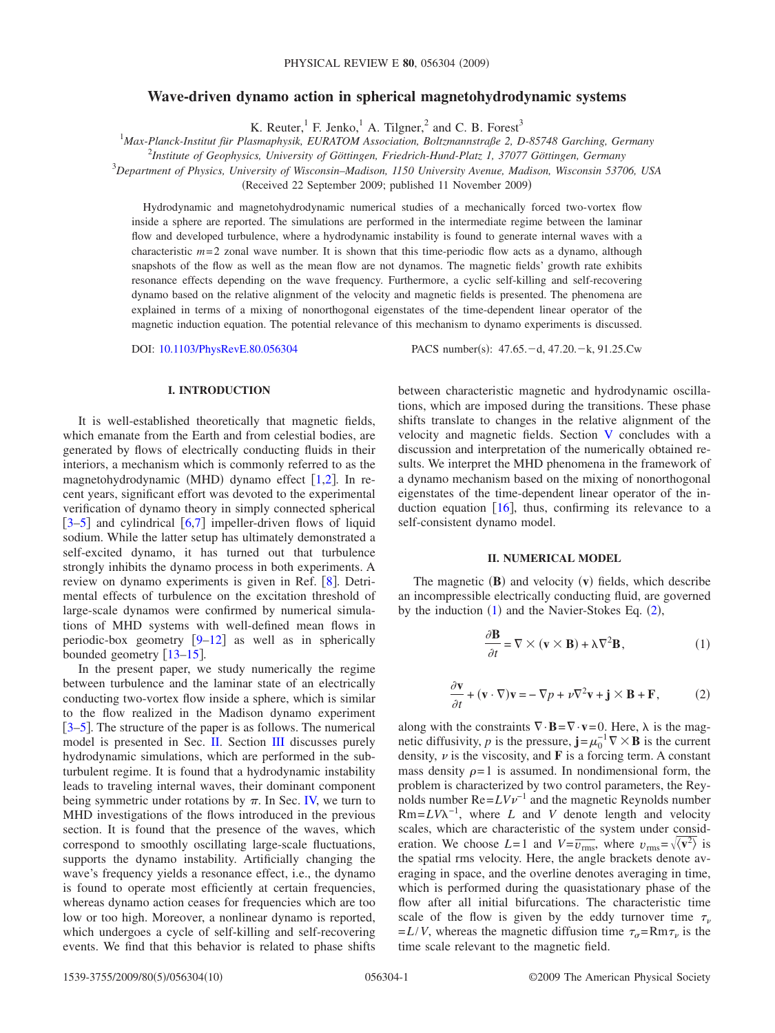# **Wave-driven dynamo action in spherical magnetohydrodynamic systems**

K. Reuter, $^1$  F. Jenko, $^1$  A. Tilgner, $^2$  and C. B. Forest<sup>3</sup>

1 *Max-Planck-Institut für Plasmaphysik, EURATOM Association, Boltzmannstraße 2, D-85748 Garching, Germany*

2 *Institute of Geophysics, University of Göttingen, Friedrich-Hund-Platz 1, 37077 Göttingen, Germany*

3 *Department of Physics, University of Wisconsin–Madison, 1150 University Avenue, Madison, Wisconsin 53706, USA*

Received 22 September 2009; published 11 November 2009-

Hydrodynamic and magnetohydrodynamic numerical studies of a mechanically forced two-vortex flow inside a sphere are reported. The simulations are performed in the intermediate regime between the laminar flow and developed turbulence, where a hydrodynamic instability is found to generate internal waves with a characteristic  $m=2$  zonal wave number. It is shown that this time-periodic flow acts as a dynamo, although snapshots of the flow as well as the mean flow are not dynamos. The magnetic fields' growth rate exhibits resonance effects depending on the wave frequency. Furthermore, a cyclic self-killing and self-recovering dynamo based on the relative alignment of the velocity and magnetic fields is presented. The phenomena are explained in terms of a mixing of nonorthogonal eigenstates of the time-dependent linear operator of the magnetic induction equation. The potential relevance of this mechanism to dynamo experiments is discussed.

DOI: [10.1103/PhysRevE.80.056304](http://dx.doi.org/10.1103/PhysRevE.80.056304)

### **I. INTRODUCTION**

It is well-established theoretically that magnetic fields, which emanate from the Earth and from celestial bodies, are generated by flows of electrically conducting fluids in their interiors, a mechanism which is commonly referred to as the magnetohydrodynamic (MHD) dynamo effect  $[1,2]$  $[1,2]$  $[1,2]$  $[1,2]$ . In recent years, significant effort was devoted to the experimental verification of dynamo theory in simply connected spherical  $[3-5]$  $[3-5]$  $[3-5]$  and cylindrical  $[6,7]$  $[6,7]$  $[6,7]$  $[6,7]$  impeller-driven flows of liquid sodium. While the latter setup has ultimately demonstrated a self-excited dynamo, it has turned out that turbulence strongly inhibits the dynamo process in both experiments. A review on dynamo experiments is given in Ref.  $[8]$  $[8]$  $[8]$ . Detrimental effects of turbulence on the excitation threshold of large-scale dynamos were confirmed by numerical simulations of MHD systems with well-defined mean flows in periodic-box geometry  $[9-12]$  $[9-12]$  $[9-12]$  as well as in spherically bounded geometry  $\lceil 13-15 \rceil$  $\lceil 13-15 \rceil$  $\lceil 13-15 \rceil$ .

In the present paper, we study numerically the regime between turbulence and the laminar state of an electrically conducting two-vortex flow inside a sphere, which is similar to the flow realized in the Madison dynamo experiment [[3–](#page-9-2)[5](#page-9-3)]. The structure of the paper is as follows. The numerical model is presented in Sec. [II.](#page-0-0) Section [III](#page-1-0) discusses purely hydrodynamic simulations, which are performed in the subturbulent regime. It is found that a hydrodynamic instability leads to traveling internal waves, their dominant component being symmetric under rotations by  $\pi$ . In Sec. [IV,](#page-3-0) we turn to MHD investigations of the flows introduced in the previous section. It is found that the presence of the waves, which correspond to smoothly oscillating large-scale fluctuations, supports the dynamo instability. Artificially changing the wave's frequency yields a resonance effect, i.e., the dynamo is found to operate most efficiently at certain frequencies, whereas dynamo action ceases for frequencies which are too low or too high. Moreover, a nonlinear dynamo is reported, which undergoes a cycle of self-killing and self-recovering events. We find that this behavior is related to phase shifts

PACS number(s):  $47.65.-d$ ,  $47.20.-k$ ,  $91.25.Cw$ 

between characteristic magnetic and hydrodynamic oscillations, which are imposed during the transitions. These phase shifts translate to changes in the relative alignment of the velocity and magnetic fields. Section [V](#page-7-0) concludes with a discussion and interpretation of the numerically obtained results. We interpret the MHD phenomena in the framework of a dynamo mechanism based on the mixing of nonorthogonal eigenstates of the time-dependent linear operator of the induction equation  $[16]$  $[16]$  $[16]$ , thus, confirming its relevance to a self-consistent dynamo model.

#### **II. NUMERICAL MODEL**

<span id="page-0-1"></span><span id="page-0-0"></span>The magnetic  $(B)$  and velocity  $(v)$  fields, which describe an incompressible electrically conducting fluid, are governed by the induction  $(1)$  $(1)$  $(1)$  and the Navier-Stokes Eq.  $(2)$  $(2)$  $(2)$ ,

$$
\frac{\partial \mathbf{B}}{\partial t} = \nabla \times (\mathbf{v} \times \mathbf{B}) + \lambda \nabla^2 \mathbf{B},\tag{1}
$$

$$
\frac{\partial \mathbf{v}}{\partial t} + (\mathbf{v} \cdot \nabla) \mathbf{v} = -\nabla p + \nu \nabla^2 \mathbf{v} + \mathbf{j} \times \mathbf{B} + \mathbf{F},
$$
 (2)

<span id="page-0-2"></span>along with the constraints  $\nabla \cdot \mathbf{B} = \nabla \cdot \mathbf{v} = 0$ . Here,  $\lambda$  is the magnetic diffusivity, *p* is the pressure,  $\mathbf{j} = \mu_0^{-1} \nabla \times \mathbf{B}$  is the current density,  $\nu$  is the viscosity, and **F** is a forcing term. A constant mass density  $\rho = 1$  is assumed. In nondimensional form, the problem is characterized by two control parameters, the Reynolds number  $Re = LVv^{-1}$  and the magnetic Reynolds number  $Rm = LV\lambda^{-1}$ , where *L* and *V* denote length and velocity scales, which are characteristic of the system under consideration. We choose  $L=1$  and  $V=\overline{v_{\rm rms}}$ , where  $v_{\rm rms} = \sqrt{\langle v^2 \rangle}$  is the spatial rms velocity. Here, the angle brackets denote averaging in space, and the overline denotes averaging in time, which is performed during the quasistationary phase of the flow after all initial bifurcations. The characteristic time scale of the flow is given by the eddy turnover time  $\tau_{\nu}$  $= L/V$ , whereas the magnetic diffusion time  $\tau_{\alpha} = Rm \tau_{\nu}$  is the time scale relevant to the magnetic field.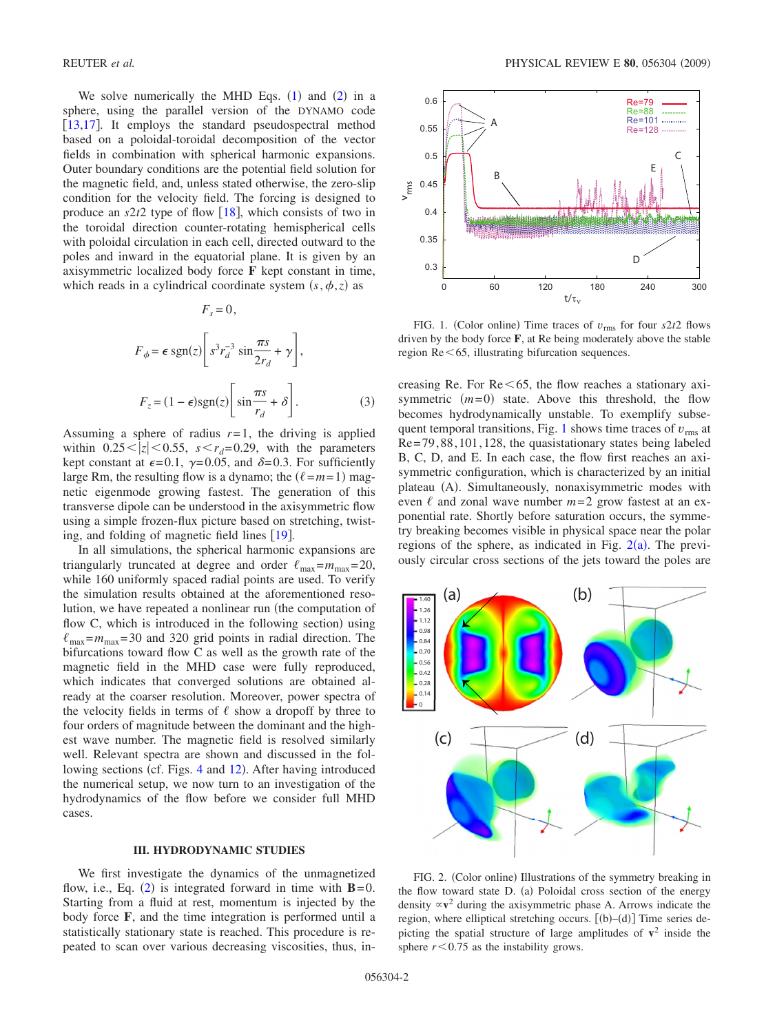We solve numerically the MHD Eqs.  $(1)$  $(1)$  $(1)$  and  $(2)$  $(2)$  $(2)$  in a sphere, using the parallel version of the DYNAMO code [ $13,17$  $13,17$ ]. It employs the standard pseudospectral method based on a poloidal-toroidal decomposition of the vector fields in combination with spherical harmonic expansions. Outer boundary conditions are the potential field solution for the magnetic field, and, unless stated otherwise, the zero-slip condition for the velocity field. The forcing is designed to produce an  $s2t2$  type of flow [[18](#page-9-13)], which consists of two in the toroidal direction counter-rotating hemispherical cells with poloidal circulation in each cell, directed outward to the poles and inward in the equatorial plane. It is given by an axisymmetric localized body force **F** kept constant in time, which reads in a cylindrical coordinate system  $(s, \phi, z)$  as

<span id="page-1-3"></span>
$$
F_s = 0,
$$
  
\n
$$
F_{\phi} = \epsilon \operatorname{sgn}(z) \left[ s^3 r_d^{-3} \sin \frac{\pi s}{2r_d} + \gamma \right],
$$
  
\n
$$
F_z = (1 - \epsilon) \operatorname{sgn}(z) \left[ \sin \frac{\pi s}{r_d} + \delta \right].
$$
 (3)

Assuming a sphere of radius  $r=1$ , the driving is applied within  $0.25 \le |z| \le 0.55$ ,  $s \le r_d = 0.29$ , with the parameters kept constant at  $\epsilon = 0.1$ ,  $\gamma = 0.05$ , and  $\delta = 0.3$ . For sufficiently large Rm, the resulting flow is a dynamo; the  $(\ell = m = 1)$  magnetic eigenmode growing fastest. The generation of this transverse dipole can be understood in the axisymmetric flow using a simple frozen-flux picture based on stretching, twisting, and folding of magnetic field lines  $[19]$  $[19]$  $[19]$ .

In all simulations, the spherical harmonic expansions are triangularly truncated at degree and order  $\ell_{\text{max}} = m_{\text{max}} = 20$ , while 160 uniformly spaced radial points are used. To verify the simulation results obtained at the aforementioned resolution, we have repeated a nonlinear run (the computation of flow C, which is introduced in the following section) using  $\ell_{\text{max}} = m_{\text{max}} = 30$  and 320 grid points in radial direction. The bifurcations toward flow C as well as the growth rate of the magnetic field in the MHD case were fully reproduced, which indicates that converged solutions are obtained already at the coarser resolution. Moreover, power spectra of the velocity fields in terms of  $\ell$  show a dropoff by three to four orders of magnitude between the dominant and the highest wave number. The magnetic field is resolved similarly well. Relevant spectra are shown and discussed in the fol-lowing sections (cf. Figs. [4](#page-2-0) and [12](#page-7-1)). After having introduced the numerical setup, we now turn to an investigation of the hydrodynamics of the flow before we consider full MHD cases.

#### **III. HYDRODYNAMIC STUDIES**

<span id="page-1-0"></span>We first investigate the dynamics of the unmagnetized flow, i.e., Eq.  $(2)$  $(2)$  $(2)$  is integrated forward in time with  $B=0$ . Starting from a fluid at rest, momentum is injected by the body force **F**, and the time integration is performed until a statistically stationary state is reached. This procedure is repeated to scan over various decreasing viscosities, thus, in-

<span id="page-1-1"></span>

FIG. 1. (Color online) Time traces of  $v_{\text{rms}}$  for four  $s2t2$  flows driven by the body force **F**, at Re being moderately above the stable region  $Re < 65$ , illustrating bifurcation sequences.

creasing Re. For  $Re \leq 65$ , the flow reaches a stationary axisymmetric  $(m=0)$  state. Above this threshold, the flow becomes hydrodynamically unstable. To exemplify subse-quent temporal transitions, Fig. [1](#page-1-1) shows time traces of  $v_{\rm rms}$  at Re= 79, 88, 101, 128, the quasistationary states being labeled B, C, D, and E. In each case, the flow first reaches an axisymmetric configuration, which is characterized by an initial plateau (A). Simultaneously, nonaxisymmetric modes with even  $\ell$  and zonal wave number  $m=2$  grow fastest at an exponential rate. Shortly before saturation occurs, the symmetry breaking becomes visible in physical space near the polar regions of the sphere, as indicated in Fig.  $2(a)$  $2(a)$ . The previously circular cross sections of the jets toward the poles are

<span id="page-1-2"></span>

FIG. 2. (Color online) Illustrations of the symmetry breaking in the flow toward state D. (a) Poloidal cross section of the energy density  $\propto v^2$  during the axisymmetric phase A. Arrows indicate the region, where elliptical stretching occurs.  $[(b)-(d)]$  Time series depicting the spatial structure of large amplitudes of  $v^2$  inside the sphere  $r < 0.75$  as the instability grows.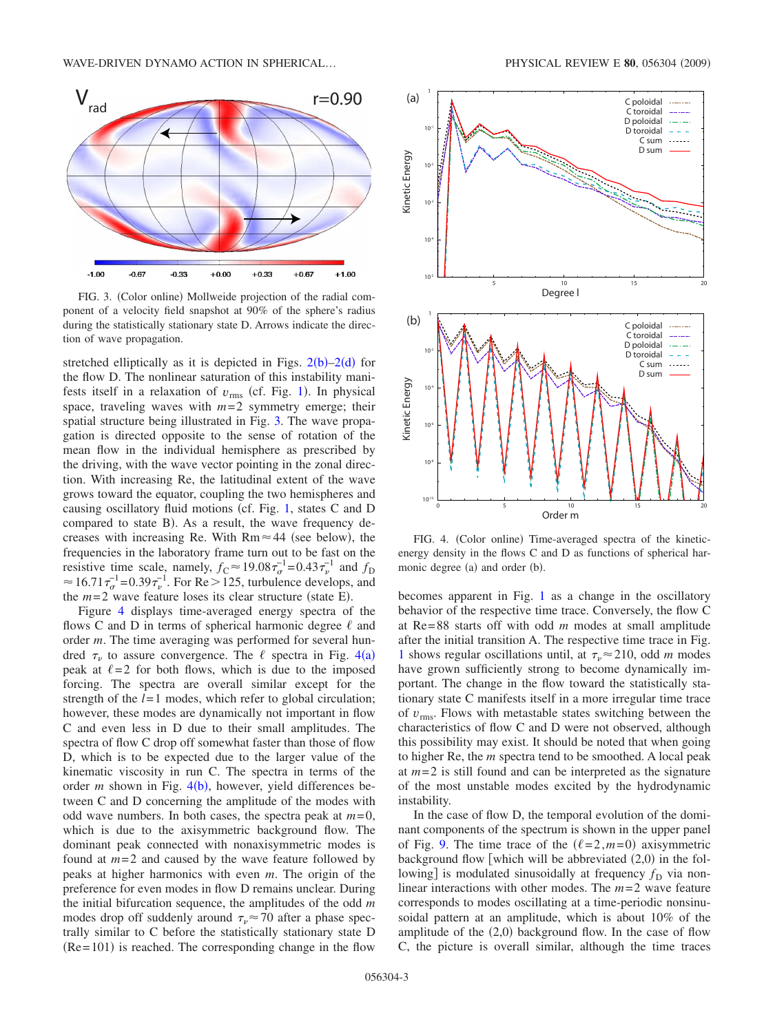<span id="page-2-1"></span>

FIG. 3. (Color online) Mollweide projection of the radial component of a velocity field snapshot at 90% of the sphere's radius during the statistically stationary state D. Arrows indicate the direction of wave propagation.

stretched elliptically as it is depicted in Figs.  $2(b) - 2(d)$  $2(b) - 2(d)$  for the flow D. The nonlinear saturation of this instability manifests itself in a relaxation of  $v_{\rm rms}$  (cf. Fig. [1](#page-1-1)). In physical space, traveling waves with  $m=2$  symmetry emerge; their spatial structure being illustrated in Fig. [3.](#page-2-1) The wave propagation is directed opposite to the sense of rotation of the mean flow in the individual hemisphere as prescribed by the driving, with the wave vector pointing in the zonal direction. With increasing Re, the latitudinal extent of the wave grows toward the equator, coupling the two hemispheres and causing oscillatory fluid motions (cf. Fig. [1,](#page-1-1) states C and D compared to state B). As a result, the wave frequency decreases with increasing Re. With  $Rm \approx 44$  (see below), the frequencies in the laboratory frame turn out to be fast on the resistive time scale, namely,  $f_C \approx 19.08 \tau_\sigma^{-1} = 0.43 \tau_\nu^{-1}$  and  $f_D$  $\approx 16.71 \tau_{\sigma}^{-1}$ =0.39 $\tau_{\nu}^{-1}$ . For Re > 125, turbulence develops, and the  $m=2$  wave feature loses its clear structure (state E).

Figure [4](#page-2-0) displays time-averaged energy spectra of the flows C and D in terms of spherical harmonic degree  $\ell$  and order *m*. The time averaging was performed for several hundred  $\tau_{\nu}$  to assure convergence. The  $\ell$  spectra in Fig. [4](#page-2-0)(a) peak at  $\ell = 2$  for both flows, which is due to the imposed forcing. The spectra are overall similar except for the strength of the  $l=1$  modes, which refer to global circulation; however, these modes are dynamically not important in flow C and even less in D due to their small amplitudes. The spectra of flow C drop off somewhat faster than those of flow D, which is to be expected due to the larger value of the kinematic viscosity in run C. The spectra in terms of the order  $m$  shown in Fig.  $4(b)$  $4(b)$ , however, yield differences between C and D concerning the amplitude of the modes with odd wave numbers. In both cases, the spectra peak at  $m=0$ , which is due to the axisymmetric background flow. The dominant peak connected with nonaxisymmetric modes is found at  $m=2$  and caused by the wave feature followed by peaks at higher harmonics with even *m*. The origin of the preference for even modes in flow D remains unclear. During the initial bifurcation sequence, the amplitudes of the odd *m* modes drop off suddenly around  $\tau_{v} \approx 70$  after a phase spectrally similar to C before the statistically stationary state D  $(Re= 101)$  is reached. The corresponding change in the flow

<span id="page-2-0"></span>

FIG. 4. (Color online) Time-averaged spectra of the kineticenergy density in the flows C and D as functions of spherical harmonic degree (a) and order (b).

becomes apparent in Fig. [1](#page-1-1) as a change in the oscillatory behavior of the respective time trace. Conversely, the flow C at Re= 88 starts off with odd *m* modes at small amplitude after the initial transition A. The respective time trace in Fig. [1](#page-1-1) shows regular oscillations until, at  $\tau_{v} \approx 210$ , odd *m* modes have grown sufficiently strong to become dynamically important. The change in the flow toward the statistically stationary state C manifests itself in a more irregular time trace of *v*rms. Flows with metastable states switching between the characteristics of flow C and D were not observed, although this possibility may exist. It should be noted that when going to higher Re, the *m* spectra tend to be smoothed. A local peak at  $m=2$  is still found and can be interpreted as the signature of the most unstable modes excited by the hydrodynamic instability.

In the case of flow D, the temporal evolution of the dominant components of the spectrum is shown in the upper panel of Fig. [9.](#page-6-0) The time trace of the  $(\ell = 2, m = 0)$  axisymmetric background flow [which will be abbreviated  $(2,0)$  in the following] is modulated sinusoidally at frequency  $f<sub>D</sub>$  via nonlinear interactions with other modes. The *m*= 2 wave feature corresponds to modes oscillating at a time-periodic nonsinusoidal pattern at an amplitude, which is about 10% of the amplitude of the  $(2,0)$  background flow. In the case of flow C, the picture is overall similar, although the time traces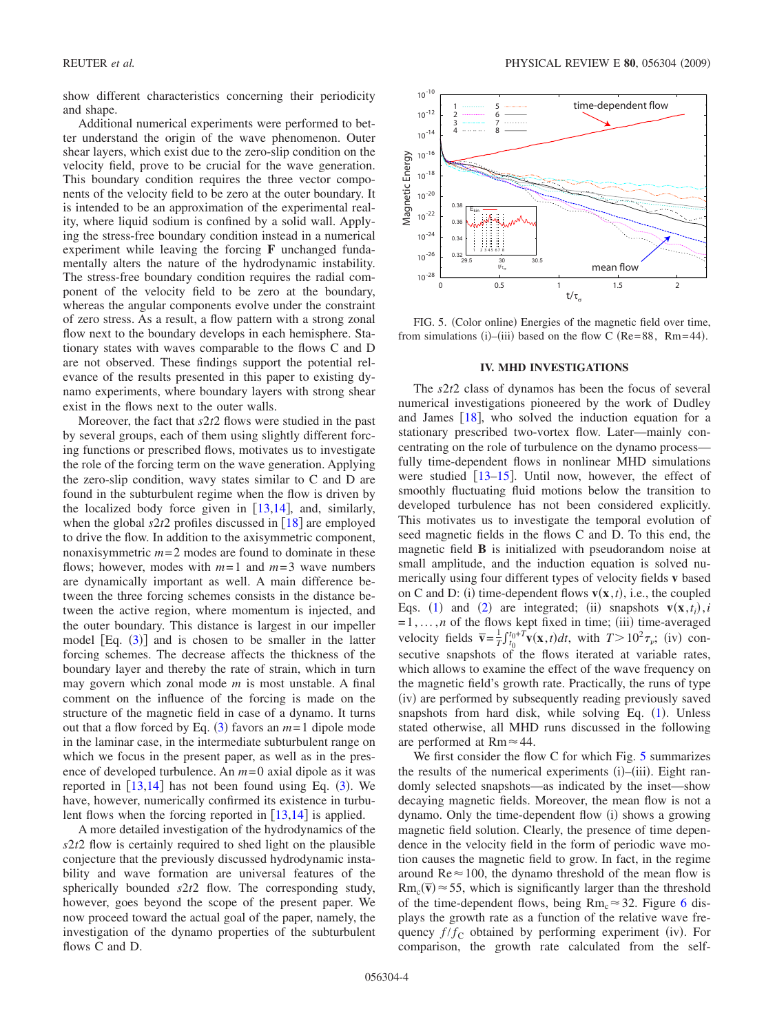show different characteristics concerning their periodicity and shape.

Additional numerical experiments were performed to better understand the origin of the wave phenomenon. Outer shear layers, which exist due to the zero-slip condition on the velocity field, prove to be crucial for the wave generation. This boundary condition requires the three vector components of the velocity field to be zero at the outer boundary. It is intended to be an approximation of the experimental reality, where liquid sodium is confined by a solid wall. Applying the stress-free boundary condition instead in a numerical experiment while leaving the forcing **F** unchanged fundamentally alters the nature of the hydrodynamic instability. The stress-free boundary condition requires the radial component of the velocity field to be zero at the boundary, whereas the angular components evolve under the constraint of zero stress. As a result, a flow pattern with a strong zonal flow next to the boundary develops in each hemisphere. Stationary states with waves comparable to the flows C and D are not observed. These findings support the potential relevance of the results presented in this paper to existing dynamo experiments, where boundary layers with strong shear exist in the flows next to the outer walls.

Moreover, the fact that *s*2*t*2 flows were studied in the past by several groups, each of them using slightly different forcing functions or prescribed flows, motivates us to investigate the role of the forcing term on the wave generation. Applying the zero-slip condition, wavy states similar to C and D are found in the subturbulent regime when the flow is driven by the localized body force given in  $[13,14]$  $[13,14]$  $[13,14]$  $[13,14]$ , and, similarly, when the global  $s2t2$  profiles discussed in  $\left[18\right]$  $\left[18\right]$  $\left[18\right]$  are employed to drive the flow. In addition to the axisymmetric component, nonaxisymmetric  $m=2$  modes are found to dominate in these flows; however, modes with  $m=1$  and  $m=3$  wave numbers are dynamically important as well. A main difference between the three forcing schemes consists in the distance between the active region, where momentum is injected, and the outer boundary. This distance is largest in our impeller model  $[Eq. (3)]$  $[Eq. (3)]$  $[Eq. (3)]$  and is chosen to be smaller in the latter forcing schemes. The decrease affects the thickness of the boundary layer and thereby the rate of strain, which in turn may govern which zonal mode *m* is most unstable. A final comment on the influence of the forcing is made on the structure of the magnetic field in case of a dynamo. It turns out that a flow forced by Eq.  $(3)$  $(3)$  $(3)$  favors an  $m=1$  dipole mode in the laminar case, in the intermediate subturbulent range on which we focus in the present paper, as well as in the presence of developed turbulence. An *m*= 0 axial dipole as it was reported in  $[13,14]$  $[13,14]$  $[13,14]$  $[13,14]$  has not been found using Eq. ([3](#page-1-3)). We have, however, numerically confirmed its existence in turbulent flows when the forcing reported in  $[13,14]$  $[13,14]$  $[13,14]$  $[13,14]$  is applied.

A more detailed investigation of the hydrodynamics of the *s*2*t*2 flow is certainly required to shed light on the plausible conjecture that the previously discussed hydrodynamic instability and wave formation are universal features of the spherically bounded *s*2*t*2 flow. The corresponding study, however, goes beyond the scope of the present paper. We now proceed toward the actual goal of the paper, namely, the investigation of the dynamo properties of the subturbulent flows C and D.

<span id="page-3-1"></span>

FIG. 5. (Color online) Energies of the magnetic field over time, from simulations (i)–(iii) based on the flow C (Re=88, Rm=44).

## **IV. MHD INVESTIGATIONS**

<span id="page-3-0"></span>The *s*2*t*2 class of dynamos has been the focus of several numerical investigations pioneered by the work of Dudley and James  $[18]$  $[18]$  $[18]$ , who solved the induction equation for a stationary prescribed two-vortex flow. Later—mainly concentrating on the role of turbulence on the dynamo process fully time-dependent flows in nonlinear MHD simulations were studied  $\left[13-15\right]$  $\left[13-15\right]$  $\left[13-15\right]$ . Until now, however, the effect of smoothly fluctuating fluid motions below the transition to developed turbulence has not been considered explicitly. This motivates us to investigate the temporal evolution of seed magnetic fields in the flows C and D. To this end, the magnetic field **B** is initialized with pseudorandom noise at small amplitude, and the induction equation is solved numerically using four different types of velocity fields **v** based on C and D: (i) time-dependent flows  $\mathbf{v}(\mathbf{x},t)$ , i.e., the coupled Eqs. ([1](#page-0-1)) and ([2](#page-0-2)) are integrated; (ii) snapshots  $\mathbf{v}(\mathbf{x}, t_i)$ , *i*  $=1, \ldots, n$  of the flows kept fixed in time; (iii) time-averaged velocity fields  $\overline{\mathbf{v}} = \frac{1}{T} \int_{t_0}^{t_0+T} \mathbf{v}(\mathbf{x}, t) dt$ , with  $T > 10^2 \tau_v$ ; (iv) consecutive snapshots of the flows iterated at variable rates, which allows to examine the effect of the wave frequency on the magnetic field's growth rate. Practically, the runs of type (iv) are performed by subsequently reading previously saved snapshots from hard disk, while solving Eq.  $(1)$  $(1)$  $(1)$ . Unless stated otherwise, all MHD runs discussed in the following are performed at  $Rm \approx 44$ .

We first consider the flow C for which Fig. [5](#page-3-1) summarizes the results of the numerical experiments (i)–(iii). Eight randomly selected snapshots—as indicated by the inset—show decaying magnetic fields. Moreover, the mean flow is not a dynamo. Only the time-dependent flow (i) shows a growing magnetic field solution. Clearly, the presence of time dependence in the velocity field in the form of periodic wave motion causes the magnetic field to grow. In fact, in the regime around  $\text{Re} \approx 100$ , the dynamo threshold of the mean flow is  $Rm_c(\overline{v}) \approx 55$ , which is significantly larger than the threshold of the time-dependent flows, being  $Rm_c \approx 32$ . Figure [6](#page-4-0) displays the growth rate as a function of the relative wave frequency  $f/f_C$  obtained by performing experiment (iv). For comparison, the growth rate calculated from the self-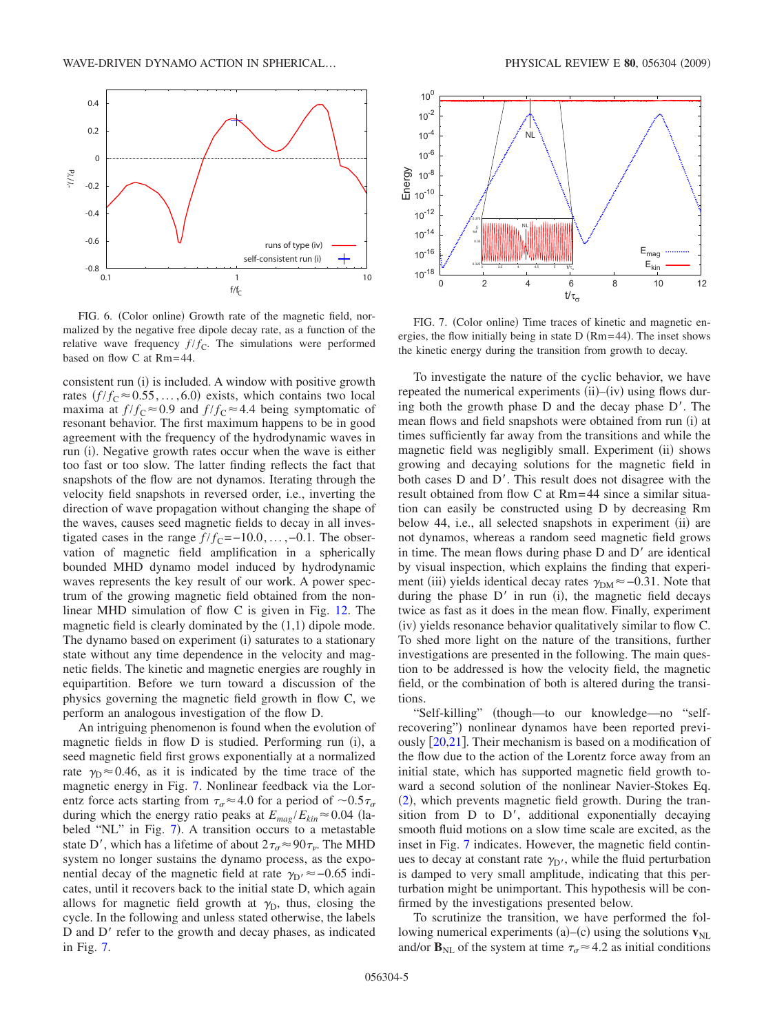<span id="page-4-0"></span>

FIG. 6. (Color online) Growth rate of the magnetic field, normalized by the negative free dipole decay rate, as a function of the relative wave frequency  $f/f_c$ . The simulations were performed based on flow C at Rm= 44.

consistent run (i) is included. A window with positive growth rates  $(f/f_C \approx 0.55, ..., 6.0)$  exists, which contains two local maxima at  $f/f_C \approx 0.9$  and  $f/f_C \approx 4.4$  being symptomatic of resonant behavior. The first maximum happens to be in good agreement with the frequency of the hydrodynamic waves in run (i). Negative growth rates occur when the wave is either too fast or too slow. The latter finding reflects the fact that snapshots of the flow are not dynamos. Iterating through the velocity field snapshots in reversed order, i.e., inverting the direction of wave propagation without changing the shape of the waves, causes seed magnetic fields to decay in all investigated cases in the range  $f/f_c = -10.0, \ldots, -0.1$ . The observation of magnetic field amplification in a spherically bounded MHD dynamo model induced by hydrodynamic waves represents the key result of our work. A power spectrum of the growing magnetic field obtained from the nonlinear MHD simulation of flow C is given in Fig. [12.](#page-7-1) The magnetic field is clearly dominated by the  $(1,1)$  dipole mode. The dynamo based on experiment (i) saturates to a stationary state without any time dependence in the velocity and magnetic fields. The kinetic and magnetic energies are roughly in equipartition. Before we turn toward a discussion of the physics governing the magnetic field growth in flow C, we perform an analogous investigation of the flow D.

An intriguing phenomenon is found when the evolution of magnetic fields in flow D is studied. Performing run (i), a seed magnetic field first grows exponentially at a normalized rate  $\gamma_{\rm D} \approx 0.46$ , as it is indicated by the time trace of the magnetic energy in Fig. [7.](#page-4-1) Nonlinear feedback via the Lorentz force acts starting from  $\tau_{\sigma} \approx 4.0$  for a period of  $\sim 0.5 \tau_{\sigma}$ during which the energy ratio peaks at  $E_{mag}/E_{kin} \approx 0.04$  (la-beled "NL" in Fig. [7](#page-4-1)). A transition occurs to a metastable state D', which has a lifetime of about  $2\tau_{\sigma} \approx 90\tau_{\nu}$ . The MHD system no longer sustains the dynamo process, as the exponential decay of the magnetic field at rate  $\gamma_{D}$  ≈ -0.65 indicates, until it recovers back to the initial state D, which again allows for magnetic field growth at  $\gamma_D$ , thus, closing the cycle. In the following and unless stated otherwise, the labels D and  $D'$  refer to the growth and decay phases, as indicated in Fig. [7.](#page-4-1)

<span id="page-4-1"></span>

FIG. 7. (Color online) Time traces of kinetic and magnetic energies, the flow initially being in state  $D(Rm=44)$ . The inset shows the kinetic energy during the transition from growth to decay.

To investigate the nature of the cyclic behavior, we have repeated the numerical experiments (ii)–(iv) using flows during both the growth phase  $D$  and the decay phase  $D'$ . The mean flows and field snapshots were obtained from run (i) at times sufficiently far away from the transitions and while the magnetic field was negligibly small. Experiment (ii) shows growing and decaying solutions for the magnetic field in both cases  $D$  and  $D'$ . This result does not disagree with the result obtained from flow C at Rm= 44 since a similar situation can easily be constructed using D by decreasing Rm below 44, i.e., all selected snapshots in experiment (ii) are not dynamos, whereas a random seed magnetic field grows in time. The mean flows during phase  $D$  and  $D'$  are identical by visual inspection, which explains the finding that experiment (iii) yields identical decay rates  $\gamma_{DM} \approx -0.31$ . Note that during the phase  $D'$  in run (i), the magnetic field decays twice as fast as it does in the mean flow. Finally, experiment (iv) yields resonance behavior qualitatively similar to flow C. To shed more light on the nature of the transitions, further investigations are presented in the following. The main question to be addressed is how the velocity field, the magnetic field, or the combination of both is altered during the transitions.

"Self-killing" (though—to our knowledge—no "selfrecovering") nonlinear dynamos have been reported previously  $[20,21]$  $[20,21]$  $[20,21]$  $[20,21]$ . Their mechanism is based on a modification of the flow due to the action of the Lorentz force away from an initial state, which has supported magnetic field growth toward a second solution of the nonlinear Navier-Stokes Eq. ([2](#page-0-2)), which prevents magnetic field growth. During the transition from  $D$  to  $D'$ , additional exponentially decaying smooth fluid motions on a slow time scale are excited, as the inset in Fig. [7](#page-4-1) indicates. However, the magnetic field continues to decay at constant rate  $\gamma_{D'}$ , while the fluid perturbation is damped to very small amplitude, indicating that this perturbation might be unimportant. This hypothesis will be confirmed by the investigations presented below.

To scrutinize the transition, we have performed the following numerical experiments  $(a)$ – $(c)$  using the solutions  $\mathbf{v}_{NL}$ and/or  $\mathbf{B}_{\text{NL}}$  of the system at time  $\tau_{\sigma} \approx 4.2$  as initial conditions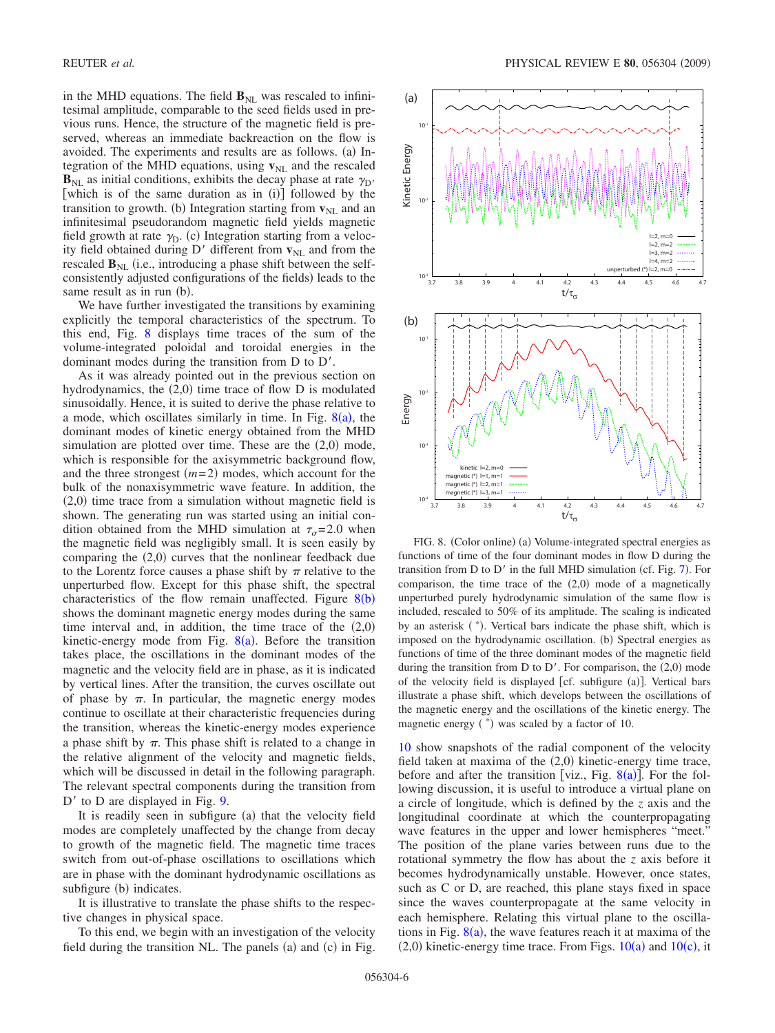in the MHD equations. The field  $\mathbf{B}_{NL}$  was rescaled to infinitesimal amplitude, comparable to the seed fields used in previous runs. Hence, the structure of the magnetic field is preserved, whereas an immediate backreaction on the flow is avoided. The experiments and results are as follows. (a) Integration of the MHD equations, using  $\mathbf{v}_{\text{NL}}$  and the rescaled  $\mathbf{B}_{\text{NL}}$  as initial conditions, exhibits the decay phase at rate  $\gamma_{\text{D}}$ , [which is of the same duration as in  $(i)$ ] followed by the transition to growth. (b) Integration starting from  $\mathbf{v}_{NL}$  and an infinitesimal pseudorandom magnetic field yields magnetic field growth at rate  $\gamma_{D}$ . (c) Integration starting from a velocity field obtained during D' different from  $v_{NL}$  and from the rescaled  $\mathbf{B}_{\text{NL}}$  (i.e., introducing a phase shift between the selfconsistently adjusted configurations of the fields) leads to the same result as in run (b).

We have further investigated the transitions by examining explicitly the temporal characteristics of the spectrum. To this end, Fig. [8](#page-5-0) displays time traces of the sum of the volume-integrated poloidal and toroidal energies in the dominant modes during the transition from D to D'.

As it was already pointed out in the previous section on hydrodynamics, the  $(2,0)$  time trace of flow  $D$  is modulated sinusoidally. Hence, it is suited to derive the phase relative to a mode, which oscillates similarly in time. In Fig.  $8(a)$  $8(a)$ , the dominant modes of kinetic energy obtained from the MHD simulation are plotted over time. These are the  $(2,0)$  mode, which is responsible for the axisymmetric background flow, and the three strongest  $(m=2)$  modes, which account for the bulk of the nonaxisymmetric wave feature. In addition, the  $(2,0)$  time trace from a simulation without magnetic field is shown. The generating run was started using an initial condition obtained from the MHD simulation at  $\tau_{\sigma}$ =2.0 when the magnetic field was negligibly small. It is seen easily by comparing the  $(2,0)$  curves that the nonlinear feedback due to the Lorentz force causes a phase shift by  $\pi$  relative to the unperturbed flow. Except for this phase shift, the spectral characteristics of the flow remain unaffected. Figure  $8(b)$  $8(b)$ shows the dominant magnetic energy modes during the same time interval and, in addition, the time trace of the  $(2,0)$ kinetic-energy mode from Fig.  $8(a)$  $8(a)$ . Before the transition takes place, the oscillations in the dominant modes of the magnetic and the velocity field are in phase, as it is indicated by vertical lines. After the transition, the curves oscillate out of phase by  $\pi$ . In particular, the magnetic energy modes continue to oscillate at their characteristic frequencies during the transition, whereas the kinetic-energy modes experience a phase shift by  $\pi$ . This phase shift is related to a change in the relative alignment of the velocity and magnetic fields, which will be discussed in detail in the following paragraph. The relevant spectral components during the transition from  $D'$  to D are displayed in Fig. [9.](#page-6-0)

It is readily seen in subfigure (a) that the velocity field modes are completely unaffected by the change from decay to growth of the magnetic field. The magnetic time traces switch from out-of-phase oscillations to oscillations which are in phase with the dominant hydrodynamic oscillations as subfigure (b) indicates.

It is illustrative to translate the phase shifts to the respective changes in physical space.

To this end, we begin with an investigation of the velocity field during the transition NL. The panels (a) and (c) in Fig.

<span id="page-5-0"></span>

FIG. 8. (Color online) (a) Volume-integrated spectral energies as functions of time of the four dominant modes in flow D during the transition from  $D$  to  $D'$  in the full MHD simulation (cf. Fig. [7](#page-4-1)). For comparison, the time trace of the  $(2,0)$  mode of a magnetically unperturbed purely hydrodynamic simulation of the same flow is included, rescaled to 50% of its amplitude. The scaling is indicated by an asterisk (\*). Vertical bars indicate the phase shift, which is imposed on the hydrodynamic oscillation. (b) Spectral energies as functions of time of the three dominant modes of the magnetic field during the transition from  $D$  to  $D'$ . For comparison, the  $(2,0)$  mode of the velocity field is displayed [cf. subfigure (a)]. Vertical bars illustrate a phase shift, which develops between the oscillations of the magnetic energy and the oscillations of the kinetic energy. The magnetic energy (\*) was scaled by a factor of 10.

[10](#page-6-1) show snapshots of the radial component of the velocity field taken at maxima of the  $(2,0)$  kinetic-energy time trace, before and after the transition [viz., Fig.  $8(a)$  $8(a)$ ]. For the following discussion, it is useful to introduce a virtual plane on a circle of longitude, which is defined by the *z* axis and the longitudinal coordinate at which the counterpropagating wave features in the upper and lower hemispheres "meet." The position of the plane varies between runs due to the rotational symmetry the flow has about the *z* axis before it becomes hydrodynamically unstable. However, once states, such as C or D, are reached, this plane stays fixed in space since the waves counterpropagate at the same velocity in each hemisphere. Relating this virtual plane to the oscillations in Fig.  $8(a)$  $8(a)$ , the wave features reach it at maxima of the  $(2,0)$  kinetic-energy time trace. From Figs.  $10(a)$  $10(a)$  and  $10(c)$ , it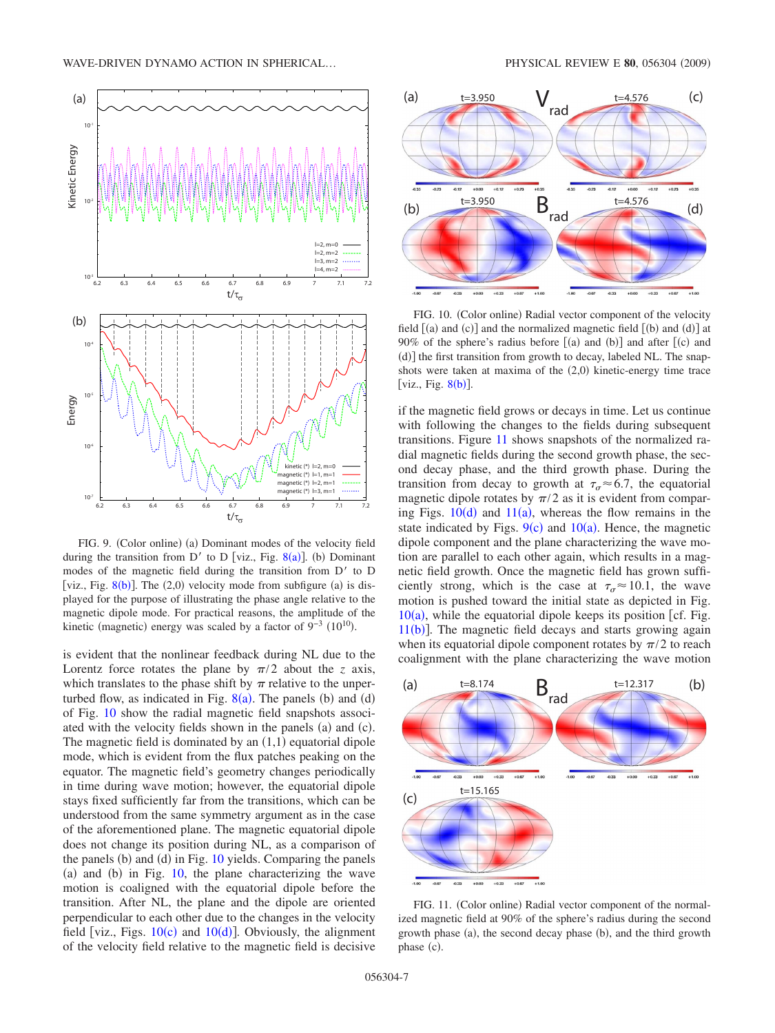<span id="page-6-0"></span>

FIG. 9. (Color online) (a) Dominant modes of the velocity field during the transition from D' to D [viz., Fig. [8](#page-5-0)(a)]. (b) Dominant modes of the magnetic field during the transition from  $D'$  to  $D$ [viz., Fig.  $8(b)$  $8(b)$ ]. The  $(2,0)$  velocity mode from subfigure  $(a)$  is displayed for the purpose of illustrating the phase angle relative to the magnetic dipole mode. For practical reasons, the amplitude of the kinetic (magnetic) energy was scaled by a factor of  $9^{-3}$  (10<sup>10</sup>).

is evident that the nonlinear feedback during NL due to the Lorentz force rotates the plane by  $\pi/2$  about the *z* axis, which translates to the phase shift by  $\pi$  relative to the unperturbed flow, as indicated in Fig.  $8(a)$  $8(a)$ . The panels (b) and (d) of Fig. [10](#page-6-1) show the radial magnetic field snapshots associated with the velocity fields shown in the panels (a) and (c). The magnetic field is dominated by an  $(1,1)$  equatorial dipole mode, which is evident from the flux patches peaking on the equator. The magnetic field's geometry changes periodically in time during wave motion; however, the equatorial dipole stays fixed sufficiently far from the transitions, which can be understood from the same symmetry argument as in the case of the aforementioned plane. The magnetic equatorial dipole does not change its position during NL, as a comparison of the panels (b) and (d) in Fig. [10](#page-6-1) yields. Comparing the panels (a) and (b) in Fig.  $10$ , the plane characterizing the wave motion is coaligned with the equatorial dipole before the transition. After NL, the plane and the dipole are oriented perpendicular to each other due to the changes in the velocity field [viz., Figs.  $10(c)$  $10(c)$  and  $10(d)$ ]. Obviously, the alignment of the velocity field relative to the magnetic field is decisive

<span id="page-6-1"></span>

FIG. 10. (Color online) Radial vector component of the velocity field  $[(a)$  and  $(c)]$  and the normalized magnetic field  $[(b)$  and  $(d)]$  at 90% of the sphere's radius before  $[(a)$  and  $(b)]$  and after  $[(c)$  and (d)] the first transition from growth to decay, labeled NL. The snapshots were taken at maxima of the  $(2,0)$  kinetic-energy time trace [viz., Fig.  $8(b)$  $8(b)$ ].

if the magnetic field grows or decays in time. Let us continue with following the changes to the fields during subsequent transitions. Figure [11](#page-6-2) shows snapshots of the normalized radial magnetic fields during the second growth phase, the second decay phase, and the third growth phase. During the transition from decay to growth at  $\tau_{\alpha} \approx 6.7$ , the equatorial magnetic dipole rotates by  $\pi/2$  as it is evident from comparing Figs.  $10(d)$  $10(d)$  and  $11(a)$  $11(a)$ , whereas the flow remains in the state indicated by Figs.  $9(c)$  $9(c)$  and  $10(a)$  $10(a)$ . Hence, the magnetic dipole component and the plane characterizing the wave motion are parallel to each other again, which results in a magnetic field growth. Once the magnetic field has grown sufficiently strong, which is the case at  $\tau_{\alpha} \approx 10.1$ , the wave motion is pushed toward the initial state as depicted in Fig.  $10(a)$  $10(a)$ , while the equatorial dipole keeps its position [cf. Fig.  $11(b)$  $11(b)$ ]. The magnetic field decays and starts growing again when its equatorial dipole component rotates by  $\pi/2$  to reach coalignment with the plane characterizing the wave motion

<span id="page-6-2"></span>

FIG. 11. (Color online) Radial vector component of the normalized magnetic field at 90% of the sphere's radius during the second growth phase (a), the second decay phase (b), and the third growth phase (c).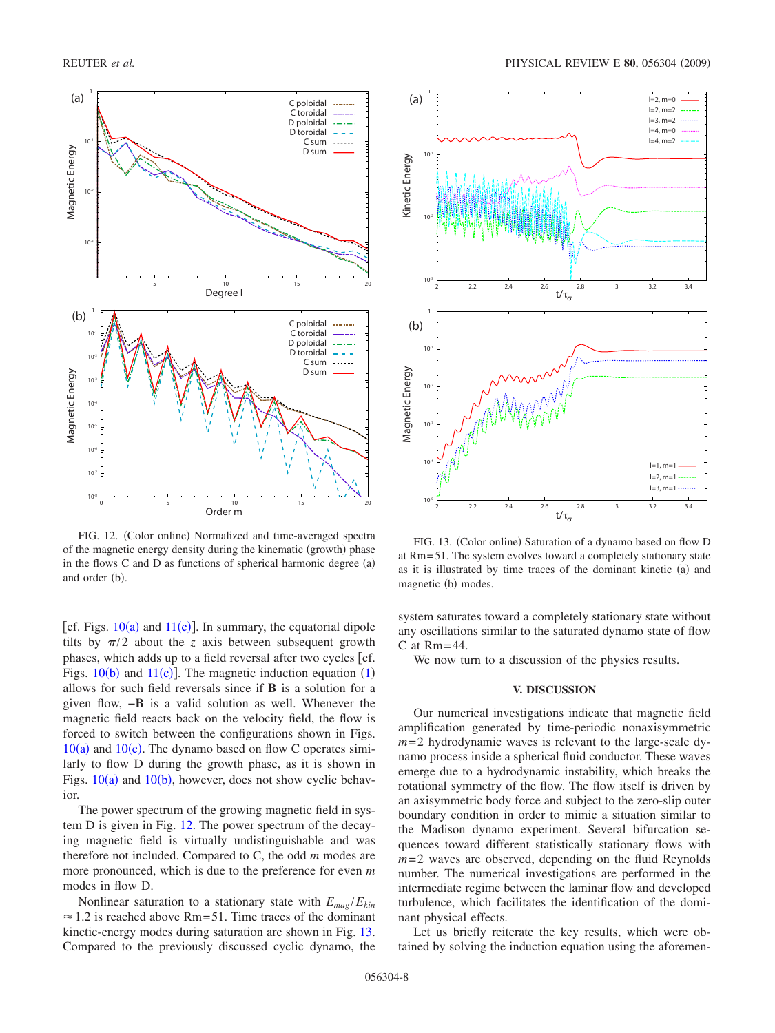<span id="page-7-1"></span>

FIG. 12. (Color online) Normalized and time-averaged spectra of the magnetic energy density during the kinematic (growth) phase in the flows  $C$  and  $D$  as functions of spherical harmonic degree  $(a)$ and order (b).

[cf. Figs.  $10(a)$  $10(a)$  and  $11(c)$  $11(c)$ ]. In summary, the equatorial dipole tilts by  $\pi/2$  about the *z* axis between subsequent growth phases, which adds up to a field reversal after two cycles  $\lceil cf \rceil$ . Figs.  $10(b)$  $10(b)$  and  $11(c)$  $11(c)$ ]. The magnetic induction equation  $(1)$  $(1)$  $(1)$ allows for such field reversals since if **B** is a solution for a given flow, −**B** is a valid solution as well. Whenever the magnetic field reacts back on the velocity field, the flow is forced to switch between the configurations shown in Figs.  $10(a)$  $10(a)$  and  $10(c)$ . The dynamo based on flow C operates similarly to flow D during the growth phase, as it is shown in Figs.  $10(a)$  $10(a)$  and  $10(b)$ , however, does not show cyclic behavior.

The power spectrum of the growing magnetic field in system D is given in Fig. [12.](#page-7-1) The power spectrum of the decaying magnetic field is virtually undistinguishable and was therefore not included. Compared to C, the odd *m* modes are more pronounced, which is due to the preference for even *m* modes in flow D.

Nonlinear saturation to a stationary state with  $E_{mag}/E_{kin}$  $\approx$  1.2 is reached above Rm=51. Time traces of the dominant kinetic-energy modes during saturation are shown in Fig. [13.](#page-7-2) Compared to the previously discussed cyclic dynamo, the

<span id="page-7-2"></span>

FIG. 13. (Color online) Saturation of a dynamo based on flow D at Rm= 51. The system evolves toward a completely stationary state as it is illustrated by time traces of the dominant kinetic (a) and magnetic (b) modes.

system saturates toward a completely stationary state without any oscillations similar to the saturated dynamo state of flow  $C$  at  $Rm = 44$ .

We now turn to a discussion of the physics results.

#### **V. DISCUSSION**

<span id="page-7-0"></span>Our numerical investigations indicate that magnetic field amplification generated by time-periodic nonaxisymmetric  $m=2$  hydrodynamic waves is relevant to the large-scale dynamo process inside a spherical fluid conductor. These waves emerge due to a hydrodynamic instability, which breaks the rotational symmetry of the flow. The flow itself is driven by an axisymmetric body force and subject to the zero-slip outer boundary condition in order to mimic a situation similar to the Madison dynamo experiment. Several bifurcation sequences toward different statistically stationary flows with  $m=2$  waves are observed, depending on the fluid Reynolds number. The numerical investigations are performed in the intermediate regime between the laminar flow and developed turbulence, which facilitates the identification of the dominant physical effects.

Let us briefly reiterate the key results, which were obtained by solving the induction equation using the aforemen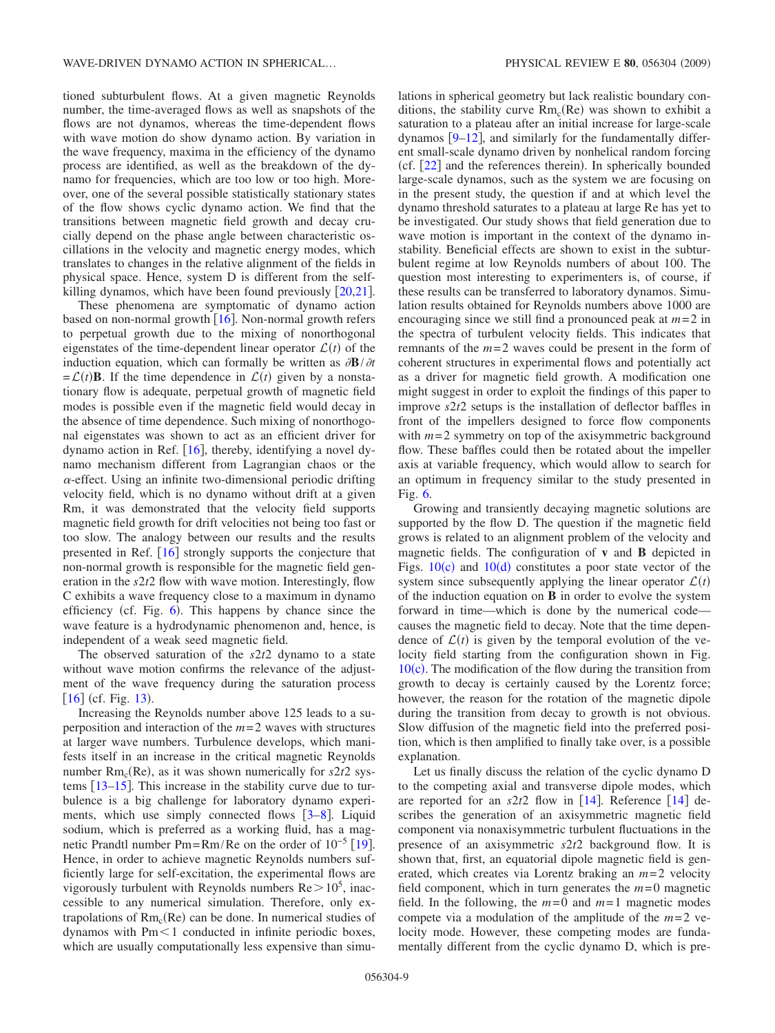tioned subturbulent flows. At a given magnetic Reynolds number, the time-averaged flows as well as snapshots of the flows are not dynamos, whereas the time-dependent flows with wave motion do show dynamo action. By variation in the wave frequency, maxima in the efficiency of the dynamo process are identified, as well as the breakdown of the dynamo for frequencies, which are too low or too high. Moreover, one of the several possible statistically stationary states of the flow shows cyclic dynamo action. We find that the transitions between magnetic field growth and decay crucially depend on the phase angle between characteristic oscillations in the velocity and magnetic energy modes, which translates to changes in the relative alignment of the fields in physical space. Hence, system D is different from the selfkilling dynamos, which have been found previously  $\lceil 20, 21 \rceil$  $\lceil 20, 21 \rceil$  $\lceil 20, 21 \rceil$  $\lceil 20, 21 \rceil$  $\lceil 20, 21 \rceil$ .

These phenomena are symptomatic of dynamo action based on non-normal growth  $[16]$  $[16]$  $[16]$ . Non-normal growth refers to perpetual growth due to the mixing of nonorthogonal eigenstates of the time-dependent linear operator  $\mathcal{L}(t)$  of the induction equation, which can formally be written as  $\partial \mathbf{B}/\partial t$  $= \mathcal{L}(t)$ **B**. If the time dependence in  $\mathcal{L}(t)$  given by a nonstationary flow is adequate, perpetual growth of magnetic field modes is possible even if the magnetic field would decay in the absence of time dependence. Such mixing of nonorthogonal eigenstates was shown to act as an efficient driver for dynamo action in Ref.  $[16]$  $[16]$  $[16]$ , thereby, identifying a novel dynamo mechanism different from Lagrangian chaos or the  $\alpha$ -effect. Using an infinite two-dimensional periodic drifting velocity field, which is no dynamo without drift at a given Rm, it was demonstrated that the velocity field supports magnetic field growth for drift velocities not being too fast or too slow. The analogy between our results and the results presented in Ref.  $\lceil 16 \rceil$  $\lceil 16 \rceil$  $\lceil 16 \rceil$  strongly supports the conjecture that non-normal growth is responsible for the magnetic field generation in the *s*2*t*2 flow with wave motion. Interestingly, flow C exhibits a wave frequency close to a maximum in dynamo efficiency (cf. Fig.  $6$ ). This happens by chance since the wave feature is a hydrodynamic phenomenon and, hence, is independent of a weak seed magnetic field.

The observed saturation of the *s*2*t*2 dynamo to a state without wave motion confirms the relevance of the adjustment of the wave frequency during the saturation process  $[16]$  $[16]$  $[16]$  (cf. Fig. [13](#page-7-2)).

Increasing the Reynolds number above 125 leads to a superposition and interaction of the *m*= 2 waves with structures at larger wave numbers. Turbulence develops, which manifests itself in an increase in the critical magnetic Reynolds number  $Rm_c(Re)$ , as it was shown numerically for  $s2t2$  systems  $\left[13-15\right]$  $\left[13-15\right]$  $\left[13-15\right]$ . This increase in the stability curve due to turbulence is a big challenge for laboratory dynamo experiments, which use simply connected flows  $[3-8]$  $[3-8]$  $[3-8]$ . Liquid sodium, which is preferred as a working fluid, has a magnetic Prandtl number Pm=Rm/Re on the order of  $10^{-5}$  [[19](#page-9-14)]. Hence, in order to achieve magnetic Reynolds numbers sufficiently large for self-excitation, the experimental flows are vigorously turbulent with Reynolds numbers  $Re > 10^5$ , inaccessible to any numerical simulation. Therefore, only extrapolations of  $Rm_c(Re)$  can be done. In numerical studies of dynamos with  $Pm<1$  conducted in infinite periodic boxes, which are usually computationally less expensive than simulations in spherical geometry but lack realistic boundary conditions, the stability curve  $Rm_c(Re)$  was shown to exhibit a saturation to a plateau after an initial increase for large-scale dynamos  $[9-12]$  $[9-12]$  $[9-12]$ , and similarly for the fundamentally different small-scale dynamo driven by nonhelical random forcing (cf.  $[22]$  $[22]$  $[22]$  and the references therein). In spherically bounded large-scale dynamos, such as the system we are focusing on in the present study, the question if and at which level the dynamo threshold saturates to a plateau at large Re has yet to be investigated. Our study shows that field generation due to wave motion is important in the context of the dynamo instability. Beneficial effects are shown to exist in the subturbulent regime at low Reynolds numbers of about 100. The question most interesting to experimenters is, of course, if these results can be transferred to laboratory dynamos. Simulation results obtained for Reynolds numbers above 1000 are encouraging since we still find a pronounced peak at  $m=2$  in the spectra of turbulent velocity fields. This indicates that remnants of the  $m=2$  waves could be present in the form of coherent structures in experimental flows and potentially act as a driver for magnetic field growth. A modification one might suggest in order to exploit the findings of this paper to improve *s*2*t*2 setups is the installation of deflector baffles in front of the impellers designed to force flow components with  $m=2$  symmetry on top of the axisymmetric background flow. These baffles could then be rotated about the impeller axis at variable frequency, which would allow to search for an optimum in frequency similar to the study presented in Fig. [6.](#page-4-0)

Growing and transiently decaying magnetic solutions are supported by the flow D. The question if the magnetic field grows is related to an alignment problem of the velocity and magnetic fields. The configuration of **v** and **B** depicted in Figs.  $10(c)$  $10(c)$  and  $10(d)$  constitutes a poor state vector of the system since subsequently applying the linear operator  $\mathcal{L}(t)$ of the induction equation on **B** in order to evolve the system forward in time—which is done by the numerical code causes the magnetic field to decay. Note that the time dependence of  $\mathcal{L}(t)$  is given by the temporal evolution of the velocity field starting from the configuration shown in Fig. [10](#page-6-1)(c). The modification of the flow during the transition from growth to decay is certainly caused by the Lorentz force; however, the reason for the rotation of the magnetic dipole during the transition from decay to growth is not obvious. Slow diffusion of the magnetic field into the preferred position, which is then amplified to finally take over, is a possible explanation.

Let us finally discuss the relation of the cyclic dynamo D to the competing axial and transverse dipole modes, which are reported for an  $s2t2$  flow in [[14](#page-9-15)]. Reference [14] describes the generation of an axisymmetric magnetic field component via nonaxisymmetric turbulent fluctuations in the presence of an axisymmetric *s*2*t*2 background flow. It is shown that, first, an equatorial dipole magnetic field is generated, which creates via Lorentz braking an  $m=2$  velocity field component, which in turn generates the  $m=0$  magnetic field. In the following, the  $m=0$  and  $m=1$  magnetic modes compete via a modulation of the amplitude of the  $m=2$  velocity mode. However, these competing modes are fundamentally different from the cyclic dynamo D, which is pre